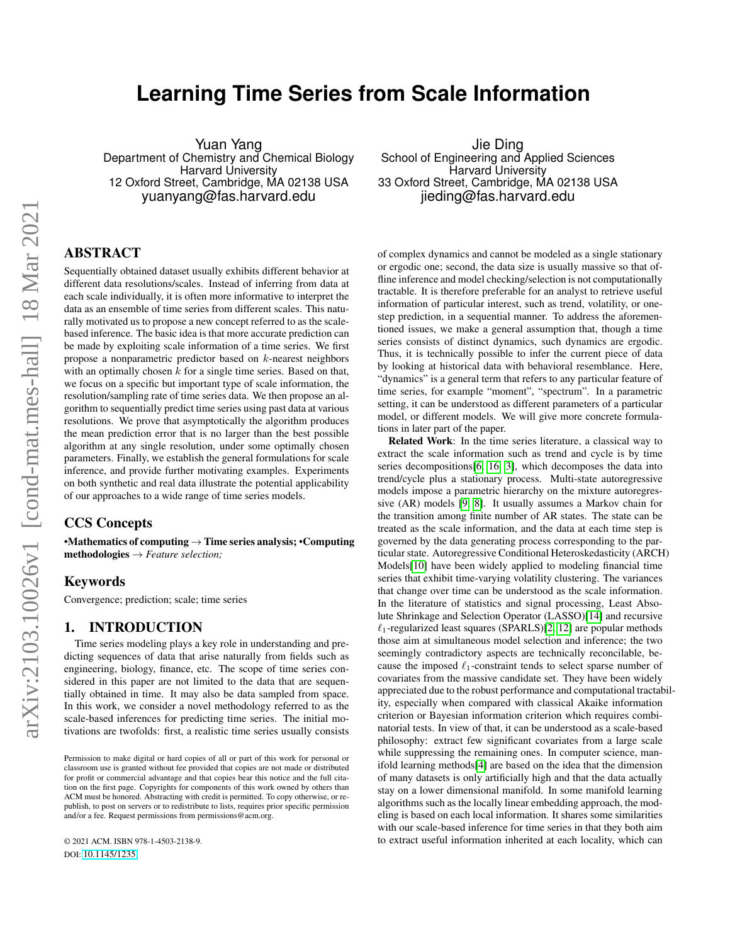# **Learning Time Series from Scale Information**

Yuan Yang Department of Chemistry and Chemical Biology Harvard University 12 Oxford Street, Cambridge, MA 02138 USA yuanyang@fas.harvard.edu

# ABSTRACT

Sequentially obtained dataset usually exhibits different behavior at different data resolutions/scales. Instead of inferring from data at each scale individually, it is often more informative to interpret the data as an ensemble of time series from different scales. This naturally motivated us to propose a new concept referred to as the scalebased inference. The basic idea is that more accurate prediction can be made by exploiting scale information of a time series. We first propose a nonparametric predictor based on k-nearest neighbors with an optimally chosen  $k$  for a single time series. Based on that, we focus on a specific but important type of scale information, the resolution/sampling rate of time series data. We then propose an algorithm to sequentially predict time series using past data at various resolutions. We prove that asymptotically the algorithm produces the mean prediction error that is no larger than the best possible algorithm at any single resolution, under some optimally chosen parameters. Finally, we establish the general formulations for scale inference, and provide further motivating examples. Experiments on both synthetic and real data illustrate the potential applicability of our approaches to a wide range of time series models.

# CCS Concepts

•Mathematics of computing  $\rightarrow$  Time series analysis; •Computing methodologies → *Feature selection;*

# Keywords

Convergence; prediction; scale; time series

# 1. INTRODUCTION

Time series modeling plays a key role in understanding and predicting sequences of data that arise naturally from fields such as engineering, biology, finance, etc. The scope of time series considered in this paper are not limited to the data that are sequentially obtained in time. It may also be data sampled from space. In this work, we consider a novel methodology referred to as the scale-based inferences for predicting time series. The initial motivations are twofolds: first, a realistic time series usually consists

© 2021 ACM. ISBN 978-1-4503-2138-9. DOI: <10.1145/1235>

Jie Ding School of Engineering and Applied Sciences Harvard University 33 Oxford Street, Cambridge, MA 02138 USA jieding@fas.harvard.edu

of complex dynamics and cannot be modeled as a single stationary or ergodic one; second, the data size is usually massive so that offline inference and model checking/selection is not computationally tractable. It is therefore preferable for an analyst to retrieve useful information of particular interest, such as trend, volatility, or onestep prediction, in a sequential manner. To address the aforementioned issues, we make a general assumption that, though a time series consists of distinct dynamics, such dynamics are ergodic. Thus, it is technically possible to infer the current piece of data by looking at historical data with behavioral resemblance. Here, "dynamics" is a general term that refers to any particular feature of time series, for example "moment", "spectrum". In a parametric setting, it can be understood as different parameters of a particular model, or different models. We will give more concrete formulations in later part of the paper.

Related Work: In the time series literature, a classical way to extract the scale information such as trend and cycle is by time series decompositions[\[6,](#page-8-0) [16,](#page-8-1) [3\]](#page-8-2), which decomposes the data into trend/cycle plus a stationary process. Multi-state autoregressive models impose a parametric hierarchy on the mixture autoregressive (AR) models [\[9,](#page-8-3) [8\]](#page-8-4). It usually assumes a Markov chain for the transition among finite number of AR states. The state can be treated as the scale information, and the data at each time step is governed by the data generating process corresponding to the particular state. Autoregressive Conditional Heteroskedasticity (ARCH) Models[\[10\]](#page-8-5) have been widely applied to modeling financial time series that exhibit time-varying volatility clustering. The variances that change over time can be understood as the scale information. In the literature of statistics and signal processing, Least Absolute Shrinkage and Selection Operator (LASSO)[\[14\]](#page-8-6) and recursive  $\ell_1$ -regularized least squares (SPARLS)[\[2,](#page-8-7) [12\]](#page-8-8) are popular methods those aim at simultaneous model selection and inference; the two seemingly contradictory aspects are technically reconcilable, because the imposed  $\ell_1$ -constraint tends to select sparse number of covariates from the massive candidate set. They have been widely appreciated due to the robust performance and computational tractability, especially when compared with classical Akaike information criterion or Bayesian information criterion which requires combinatorial tests. In view of that, it can be understood as a scale-based philosophy: extract few significant covariates from a large scale while suppressing the remaining ones. In computer science, manifold learning methods[\[4\]](#page-8-9) are based on the idea that the dimension of many datasets is only artificially high and that the data actually stay on a lower dimensional manifold. In some manifold learning algorithms such as the locally linear embedding approach, the modeling is based on each local information. It shares some similarities with our scale-based inference for time series in that they both aim to extract useful information inherited at each locality, which can

Permission to make digital or hard copies of all or part of this work for personal or classroom use is granted without fee provided that copies are not made or distributed for profit or commercial advantage and that copies bear this notice and the full citation on the first page. Copyrights for components of this work owned by others than ACM must be honored. Abstracting with credit is permitted. To copy otherwise, or republish, to post on servers or to redistribute to lists, requires prior specific permission and/or a fee. Request permissions from permissions@acm.org.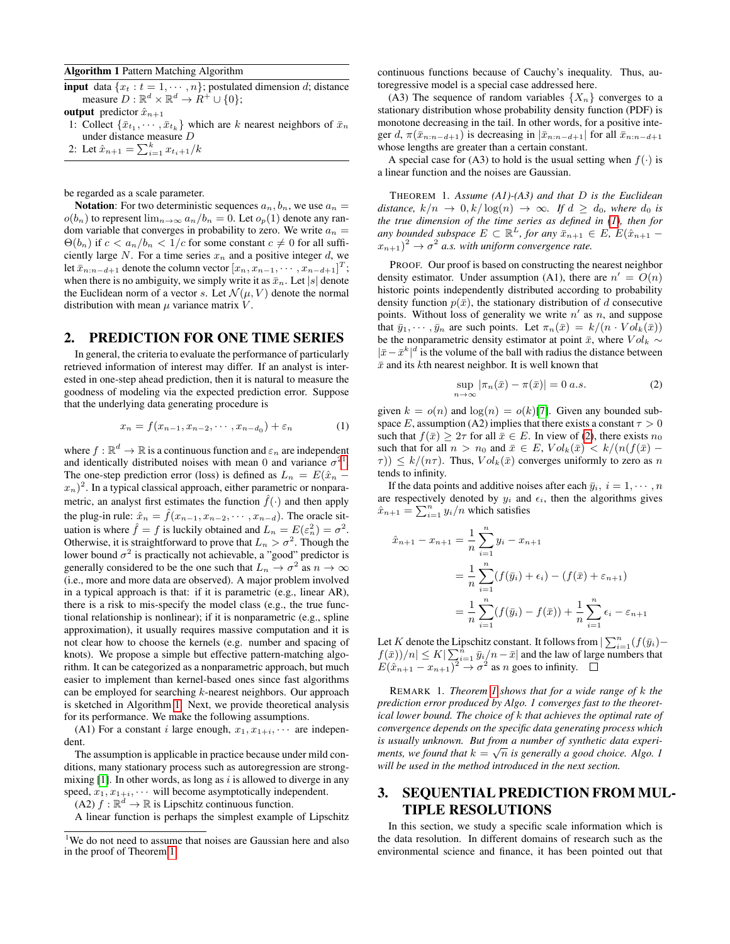#### <span id="page-1-1"></span>Algorithm 1 Pattern Matching Algorithm

**input** data  $\{x_t : t = 1, \dots, n\}$ ; postulated dimension d; distance measure  $D : \mathbb{R}^d \times \mathbb{R}^d \to R^+ \cup \{0\};$ 

output predictor  $\hat{x}_{n+1}$ 

1: Collect  $\{\bar{x}_{t_1}, \dots, \bar{x}_{t_k}\}$  which are k nearest neighbors of  $\bar{x}_n$ under distance measure D

2: Let  $\hat{x}_{n+1} = \sum_{i=1}^{k} x_{t_i+1}/k$ 

be regarded as a scale parameter.

**Notation:** For two deterministic sequences  $a_n$ ,  $b_n$ , we use  $a_n =$  $o(b_n)$  to represent  $\lim_{n\to\infty} a_n/b_n = 0$ . Let  $o_p(1)$  denote any random variable that converges in probability to zero. We write  $a_n =$  $\Theta(b_n)$  if  $c < a_n/b_n < 1/c$  for some constant  $c \neq 0$  for all sufficiently large  $N$ . For a time series  $x_n$  and a positive integer  $d$ , we let  $\bar{x}_{n:n-d+1}$  denote the column vector  $[x_n, x_{n-1}, \dots, x_{n-d+1}]^T$ ; when there is no ambiguity, we simply write it as  $\bar{x}_n$ . Let |s| denote the Euclidean norm of a vector s. Let  $\mathcal{N}(\mu, V)$  denote the normal distribution with mean  $\mu$  variance matrix  $V$ .

# 2. PREDICTION FOR ONE TIME SERIES

In general, the criteria to evaluate the performance of particularly retrieved information of interest may differ. If an analyst is interested in one-step ahead prediction, then it is natural to measure the goodness of modeling via the expected prediction error. Suppose that the underlying data generating procedure is

$$
x_n = f(x_{n-1}, x_{n-2}, \cdots, x_{n-d_0}) + \varepsilon_n \tag{1}
$$

where  $f : \mathbb{R}^d \to \mathbb{R}$  is a continuous function and  $\varepsilon_n$  are independent and identically distributed noises with mean 0 and variance  $\sigma^{21}$  $\sigma^{21}$  $\sigma^{21}$ . The one-step prediction error (loss) is defined as  $L_n = E(\hat{x}_n (x_n)^2$ . In a typical classical approach, either parametric or nonparametric, an analyst first estimates the function  $\hat{f}(\cdot)$  and then apply the plug-in rule:  $\hat{x}_n = \hat{f}(x_{n-1}, x_{n-2}, \dots, x_{n-d})$ . The oracle situation is where  $\hat{f} = f$  is luckily obtained and  $L_n = E(\varepsilon_n^2) = \sigma^2$ . Otherwise, it is straightforward to prove that  $L_n > \sigma^2$ . Though the lower bound  $\sigma^2$  is practically not achievable, a "good" predictor is generally considered to be the one such that  $L_n \to \sigma^2$  as  $n \to \infty$ (i.e., more and more data are observed). A major problem involved in a typical approach is that: if it is parametric (e.g., linear AR), there is a risk to mis-specify the model class (e.g., the true functional relationship is nonlinear); if it is nonparametric (e.g., spline approximation), it usually requires massive computation and it is not clear how to choose the kernels (e.g. number and spacing of knots). We propose a simple but effective pattern-matching algorithm. It can be categorized as a nonparametric approach, but much easier to implement than kernel-based ones since fast algorithms can be employed for searching k-nearest neighbors. Our approach is sketched in Algorithm [1.](#page-1-1) Next, we provide theoretical analysis for its performance. We make the following assumptions.

(A1) For a constant i large enough,  $x_1, x_{1+i}, \cdots$  are independent.

The assumption is applicable in practice because under mild conditions, many stationary process such as autoregression are strongmixing  $[1]$ . In other words, as long as i is allowed to diverge in any speed,  $x_1, x_{1+i}, \cdots$  will become asymptotically independent.

(A2)  $f : \mathbb{R}^d \to \mathbb{R}$  is Lipschitz continuous function.

A linear function is perhaps the simplest example of Lipschitz

continuous functions because of Cauchy's inequality. Thus, autoregressive model is a special case addressed here.

(A3) The sequence of random variables  $\{X_n\}$  converges to a stationary distribution whose probability density function (PDF) is monotone decreasing in the tail. In other words, for a positive integer d,  $\pi(\bar{x}_{n:n-d+1})$  is decreasing in  $|\bar{x}_{n:n-d+1}|$  for all  $\bar{x}_{n:n-d+1}$ whose lengths are greater than a certain constant.

A special case for (A3) to hold is the usual setting when  $f(\cdot)$  is a linear function and the noises are Gaussian.

<span id="page-1-2"></span>THEOREM 1. *Assume (A1)-(A3) and that* D *is the Euclidean distance,*  $k/n \rightarrow 0, k/\log(n) \rightarrow \infty$ *. If*  $d \geq d_0$ *, where*  $d_0$  *is the true dimension of the time series as defined in [\(1\)](#page-1-3), then for any bounded subspace*  $E \subset \mathbb{R}^L$ , *for any*  $\bar{x}_{n+1} \in E$ ,  $E(\hat{x}_{n+1} - \hat{y}_{n+1})$  $(x_{n+1})^2 \rightarrow \sigma^2$  a.s. with uniform convergence rate.

PROOF. Our proof is based on constructing the nearest neighbor density estimator. Under assumption (A1), there are  $n' = O(n)$ historic points independently distributed according to probability density function  $p(\bar{x})$ , the stationary distribution of d consecutive points. Without loss of generality we write  $n'$  as n, and suppose that  $\bar{y}_1, \dots, \bar{y}_n$  are such points. Let  $\pi_n(\bar{x}) = k/(n \cdot Vol_k(\bar{x}))$ be the nonparametric density estimator at point  $\bar{x}$ , where  $Vol_k \sim$  $|\bar{x}-\bar{x}^k|^d$  is the volume of the ball with radius the distance between  $\bar{x}$  and its kth nearest neighbor. It is well known that

<span id="page-1-4"></span>
$$
\sup_{n \to \infty} |\pi_n(\bar{x}) - \pi(\bar{x})| = 0 \ a.s.
$$
 (2)

<span id="page-1-3"></span>given  $k = o(n)$  and  $log(n) = o(k)$ [\[7\]](#page-8-11). Given any bounded subspace E, assumption (A2) implies that there exists a constant  $\tau > 0$ such that  $f(\bar{x}) \geq 2\tau$  for all  $\bar{x} \in E$ . In view of [\(2\)](#page-1-4), there exists  $n_0$ such that for all  $n > n_0$  and  $\bar{x} \in E$ ,  $Vol_k(\bar{x}) < k/(n(f(\bar{x})) \tau$ ))  $\leq k/(n\tau)$ . Thus,  $Vol_k(\bar{x})$  converges uniformly to zero as n tends to infinity.

If the data points and additive noises after each  $\bar{y}_i$ ,  $i = 1, \dots, n$ are respectively denoted by  $y_i$  and  $\epsilon_i$ , then the algorithms gives  $\hat{x}_{n+1} = \sum_{i=1}^{n} y_i/n$  which satisfies

$$
\hat{x}_{n+1} - x_{n+1} = \frac{1}{n} \sum_{i=1}^{n} y_i - x_{n+1}
$$
  
= 
$$
\frac{1}{n} \sum_{i=1}^{n} (f(\bar{y}_i) + \epsilon_i) - (f(\bar{x}) + \epsilon_{n+1})
$$
  
= 
$$
\frac{1}{n} \sum_{i=1}^{n} (f(\bar{y}_i) - f(\bar{x})) + \frac{1}{n} \sum_{i=1}^{n} \epsilon_i - \epsilon_{n+1}
$$

Let K denote the Lipschitz constant. It follows from  $\sum_{i=1}^{n} (f(\bar{y}_i) |f(\bar{x})/n| \leq K \left| \sum_{i=1}^n \bar{y}_i / n - \bar{x} \right|$  and the law of large numbers that  $E(\hat{x}_{n+1} - x_{n+1})^2 \rightarrow \sigma^2$  as *n* goes to infinity.

REMARK 1. *Theorem [1](#page-1-2) shows that for a wide range of* k *the prediction error produced by Algo. 1 converges fast to the theoretical lower bound. The choice of* k *that achieves the optimal rate of convergence depends on the specific data generating process which is usually unknown. But from a number of synthetic data experi-*√ *ments, we found that*  $k = \sqrt{n}$  *is generally a good choice. Algo. 1 will be used in the method introduced in the next section.*

# 3. SEQUENTIAL PREDICTION FROM MUL-TIPLE RESOLUTIONS

In this section, we study a specific scale information which is the data resolution. In different domains of research such as the environmental science and finance, it has been pointed out that

<span id="page-1-0"></span><sup>&</sup>lt;sup>1</sup>We do not need to assume that noises are Gaussian here and also in the proof of Theorem [1.](#page-1-2)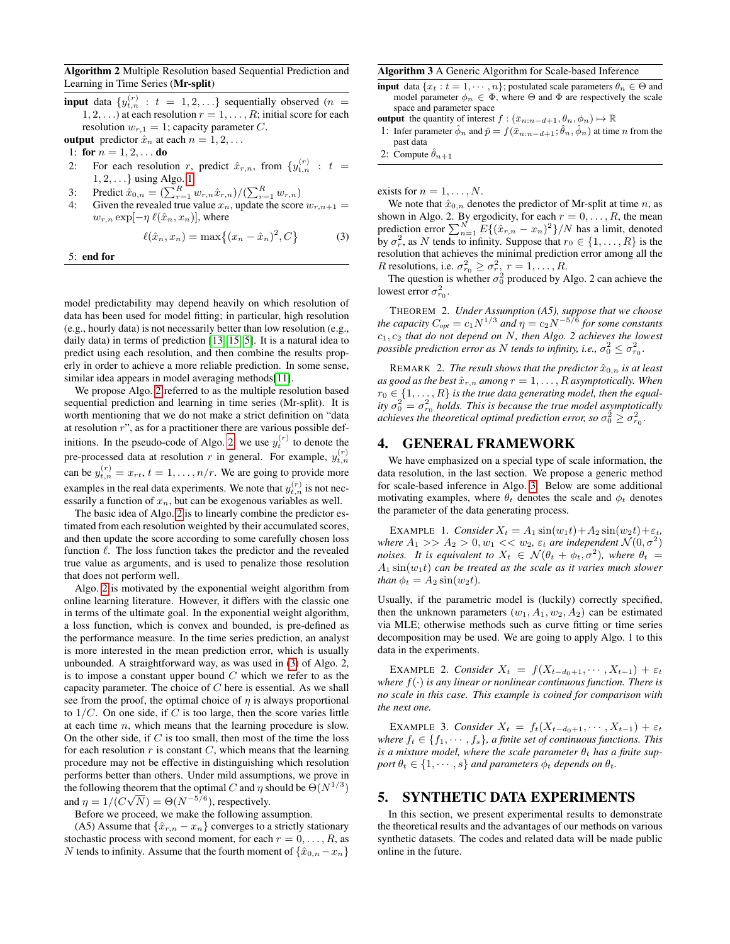<span id="page-2-0"></span>Algorithm 2 Multiple Resolution based Sequential Prediction and Learning in Time Series (Mr-split)

- **input** data  $\{y_{t,n}^{(r)} : t = 1, 2, ...\}$  sequentially observed  $(n = 1, 2, ...)$  $1, 2, \ldots$ ) at each resolution  $r = 1, \ldots, R$ ; initial score for each resolution  $w_{r,1} = 1$ ; capacity parameter C. output predictor  $\hat{x}_n$  at each  $n = 1, 2, \ldots$
- 1: for  $n = 1, 2, ...$  do
- 
- 2: For each resolution r, predict  $\hat{x}_{r,n}$ , from  $\{y_{t,n}^{(r)} : t =$  $1, 2, \ldots\}$  using Algo. [1](#page-1-1)
- 3: Predict  $\hat{x}_{0,n} = (\sum_{r=1}^{R} w_{r,n} \hat{x}_{r,n})/(\sum_{r=1}^{R} w_{r,n})$
- 4: Given the revealed true value  $x_n$ , update the score  $w_{r,n+1} =$  $w_{r,n} \exp[-\eta \ell(\hat{x}_n, x_n)]$ , where

$$
\ell(\hat{x}_n, x_n) = \max\{(x_n - \hat{x}_n)^2, C\}
$$
 (3)



model predictability may depend heavily on which resolution of data has been used for model fitting; in particular, high resolution (e.g., hourly data) is not necessarily better than low resolution (e.g., daily data) in terms of prediction [\[13,](#page-8-12) [15,](#page-8-13) [5\]](#page-8-14). It is a natural idea to predict using each resolution, and then combine the results properly in order to achieve a more reliable prediction. In some sense, similar idea appears in model averaging methods[\[11\]](#page-8-15).

We propose Algo. [2](#page-2-0) referred to as the multiple resolution based sequential prediction and learning in time series (Mr-split). It is worth mentioning that we do not make a strict definition on "data at resolution r", as for a practitioner there are various possible def-initions. In the pseudo-code of Algo. [2,](#page-2-0) we use  $y_t^{(r)}$  to denote the pre-processed data at resolution r in general. For example,  $y_{t,n}^{(r)}$ can be  $y_{t,n}^{(r)} = x_{rt}, t = 1, \ldots, n/r$ . We are going to provide more examples in the real data experiments. We note that  $y_{t,n}^{(r)}$  is not necessarily a function of  $x_n$ , but can be exogenous variables as well.

The basic idea of Algo. [2](#page-2-0) is to linearly combine the predictor estimated from each resolution weighted by their accumulated scores, and then update the score according to some carefully chosen loss function  $\ell$ . The loss function takes the predictor and the revealed true value as arguments, and is used to penalize those resolution that does not perform well.

Algo. [2](#page-2-0) is motivated by the exponential weight algorithm from online learning literature. However, it differs with the classic one in terms of the ultimate goal. In the exponential weight algorithm, a loss function, which is convex and bounded, is pre-defined as the performance measure. In the time series prediction, an analyst is more interested in the mean prediction error, which is usually unbounded. A straightforward way, as was used in [\(3\)](#page-2-1) of Algo. 2, is to impose a constant upper bound  $C$  which we refer to as the capacity parameter. The choice of  $C$  here is essential. As we shall see from the proof, the optimal choice of  $\eta$  is always proportional to  $1/C$ . On one side, if C is too large, then the score varies little at each time  $n$ , which means that the learning procedure is slow. On the other side, if  $C$  is too small, then most of the time the loss for each resolution  $r$  is constant  $C$ , which means that the learning procedure may not be effective in distinguishing which resolution performs better than others. Under mild assumptions, we prove in the following theorem that the optimal C and  $\eta$  should be  $\Theta(N^{1/3})$ and  $\eta = 1/(C\sqrt{N}) = \Theta(N^{-5/6})$ , respectively.

Before we proceed, we make the following assumption.

(A5) Assume that  $\{\hat{x}_{r,n} - x_n\}$  converges to a strictly stationary stochastic process with second moment, for each  $r = 0, \ldots, R$ , as N tends to infinity. Assume that the fourth moment of  $\{\hat{x}_{0,n} - x_n\}$ 

#### <span id="page-2-2"></span>Algorithm 3 A Generic Algorithm for Scale-based Inference

- **input** data  $\{x_t : t = 1, \dots, n\}$ ; postulated scale parameters  $\theta_n \in \Theta$  and model parameter  $\phi_n \in \Phi$ , where  $\Theta$  and  $\Phi$  are respectively the scale space and parameter space
- **output** the quantity of interest  $f : (\bar{x}_{n:n-d+1}, \theta_n, \phi_n) \mapsto \mathbb{R}$
- 1: Infer parameter  $\hat{\phi}_n$  and  $\hat{p} = f(\bar{x}_{n:n-d+1}; \hat{\theta}_n, \hat{\phi}_n)$  at time n from the past data
- 2: Compute  $\hat{\theta}_{n+1}$

exists for  $n = 1, \ldots, N$ .

<span id="page-2-1"></span>We note that  $\hat{x}_{0,n}$  denotes the predictor of Mr-split at time n, as shown in Algo. 2. By ergodicity, for each  $r = 0, \ldots, R$ , the mean prediction error  $\sum_{n=1}^{N} E\{(\hat{x}_{r,n} - x_n)^2\}/N$  has a limit, denoted by  $\sigma_r^2$ , as N tends to infinity. Suppose that  $r_0 \in \{1, \ldots, R\}$  is the resolution that achieves the minimal prediction error among all the R resolutions, i.e.  $\sigma_{r_0}^2 \ge \sigma_{r_2}^2 r = 1, \ldots, R$ .

The question is whether  $\sigma_0^2$  produced by Algo. 2 can achieve the lowest error  $\sigma_{r_0}^2$ .

THEOREM 2. *Under Assumption (A5), suppose that we choose the capacity*  $C_{opt} = c_1 N^{1/3}$  *and*  $\eta = c_2 N^{-5/6}$  *for some constants* c1, c<sup>2</sup> *that do not depend on* N*, then Algo. 2 achieves the lowest* possible prediction error as  $N$  tends to infinity, i.e.,  $\sigma_0^2 \leq \sigma_{r_0}^2$ .

REMARK 2. *The result shows that the predictor*  $\hat{x}_{0,n}$  *is at least as good as the best*  $\hat{x}_{r,n}$  *among*  $r = 1, \ldots, R$  *asymptotically. When*  $r_0 \in \{1, \ldots, R\}$  is the true data generating model, then the equal*ity*  $\sigma_0^2 = \sigma_{r_0}^2$  *holds. This is because the true model asymptotically* achieves the theoretical optimal prediction error, so  $\sigma_0^2 \geq \sigma_{r_0}^2$ .

#### 4. GENERAL FRAMEWORK

We have emphasized on a special type of scale information, the data resolution, in the last section. We propose a generic method for scale-based inference in Algo. [3.](#page-2-2) Below are some additional motivating examples, where  $\theta_t$  denotes the scale and  $\phi_t$  denotes the parameter of the data generating process.

EXAMPLE 1. *Consider*  $X_t = A_1 \sin(w_1 t) + A_2 \sin(w_2 t) + \varepsilon_t$ , *where*  $A_1 >> A_2 > 0, w_1 << w_2, \varepsilon_t$  *are independent*  $\mathcal{N}(0, \sigma^2)$ *noises.* It is equivalent to  $X_t \in \mathcal{N}(\theta_t + \phi_t, \sigma^2)$ , where  $\theta_t =$  $A_1 \sin(w_1 t)$  *can be treated as the scale as it varies much slower than*  $\phi_t = A_2 \sin(w_2 t)$ *.* 

Usually, if the parametric model is (luckily) correctly specified, then the unknown parameters  $(w_1, A_1, w_2, A_2)$  can be estimated via MLE; otherwise methods such as curve fitting or time series decomposition may be used. We are going to apply Algo. 1 to this data in the experiments.

EXAMPLE 2. *Consider*  $X_t = f(X_{t-d_0+1}, \cdots, X_{t-1}) + \varepsilon_t$ *where*  $f(\cdot)$  *is any linear or nonlinear continuous function. There is no scale in this case. This example is coined for comparison with the next one.*

EXAMPLE 3. *Consider*  $X_t = f_t(X_{t-d_0+1}, \dots, X_{t-1}) + \varepsilon_t$ *where*  $f_t \in \{f_1, \dots, f_s\}$ , *a finite set of continuous functions. This is a mixture model, where the scale parameter*  $\theta_t$  *has a finite support*  $\theta_t \in \{1, \dots, s\}$  *and parameters*  $\phi_t$  *depends on*  $\theta_t$ *.* 

## 5. SYNTHETIC DATA EXPERIMENTS

In this section, we present experimental results to demonstrate the theoretical results and the advantages of our methods on various synthetic datasets. The codes and related data will be made public online in the future.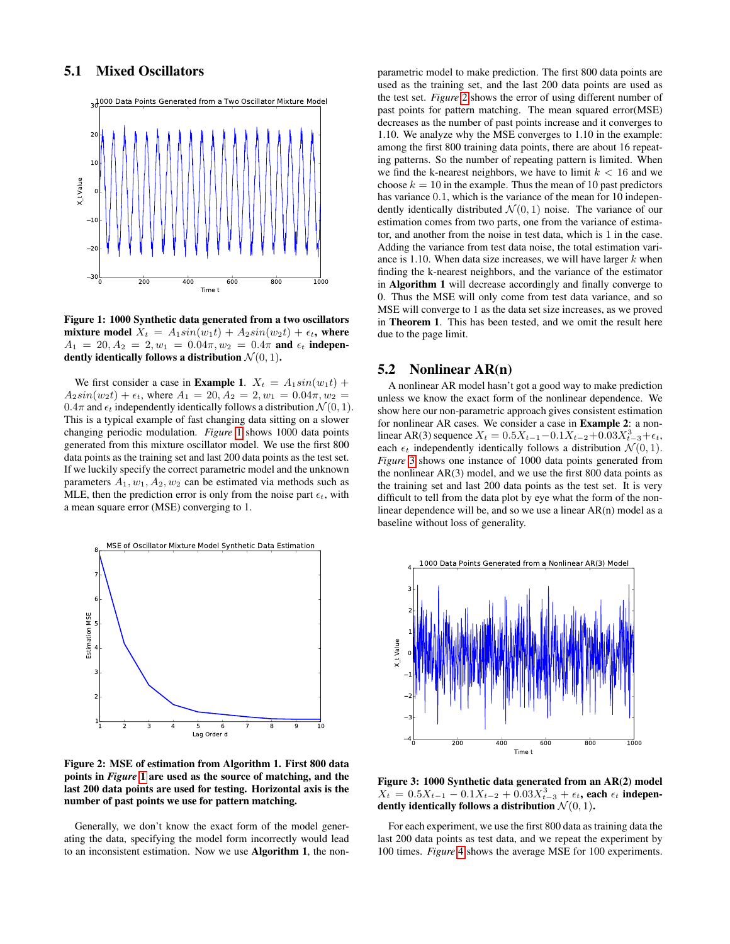### 5.1 Mixed Oscillators



<span id="page-3-0"></span>Figure 1: 1000 Synthetic data generated from a two oscillators mixture model  $X_t = A_1 \sin(w_1 t) + A_2 \sin(w_2 t) + \epsilon_t$ , where  $A_1 = 20, A_2 = 2, w_1 = 0.04\pi, w_2 = 0.4\pi$  and  $\epsilon_t$  independently identically follows a distribution  $\mathcal{N}(0, 1)$ .

We first consider a case in **Example 1.**  $X_t = A_1 \sin(w_1 t) +$  $A_2\sin(w_2t) + \epsilon_t$ , where  $A_1 = 20, A_2 = 2, w_1 = 0.04\pi, w_2 =$  $0.4\pi$  and  $\epsilon_t$  independently identically follows a distribution  $\mathcal{N}(0, 1)$ . This is a typical example of fast changing data sitting on a slower changing periodic modulation. *Figure* [1](#page-3-0) shows 1000 data points generated from this mixture oscillator model. We use the first 800 data points as the training set and last 200 data points as the test set. If we luckily specify the correct parametric model and the unknown parameters  $A_1, w_1, A_2, w_2$  can be estimated via methods such as MLE, then the prediction error is only from the noise part  $\epsilon_t$ , with a mean square error (MSE) converging to 1.



<span id="page-3-1"></span>Figure 2: MSE of estimation from Algorithm 1. First 800 data points in *Figure* [1](#page-3-0) are used as the source of matching, and the last 200 data points are used for testing. Horizontal axis is the number of past points we use for pattern matching.

Generally, we don't know the exact form of the model generating the data, specifying the model form incorrectly would lead to an inconsistent estimation. Now we use Algorithm 1, the nonparametric model to make prediction. The first 800 data points are used as the training set, and the last 200 data points are used as the test set. *Figure* [2](#page-3-1) shows the error of using different number of past points for pattern matching. The mean squared error(MSE) decreases as the number of past points increase and it converges to 1.10. We analyze why the MSE converges to 1.10 in the example: among the first 800 training data points, there are about 16 repeating patterns. So the number of repeating pattern is limited. When we find the k-nearest neighbors, we have to limit  $k < 16$  and we choose  $k = 10$  in the example. Thus the mean of 10 past predictors has variance 0.1, which is the variance of the mean for 10 independently identically distributed  $\mathcal{N}(0, 1)$  noise. The variance of our estimation comes from two parts, one from the variance of estimator, and another from the noise in test data, which is 1 in the case. Adding the variance from test data noise, the total estimation variance is 1.10. When data size increases, we will have larger  $k$  when finding the k-nearest neighbors, and the variance of the estimator in Algorithm 1 will decrease accordingly and finally converge to 0. Thus the MSE will only come from test data variance, and so MSE will converge to 1 as the data set size increases, as we proved in Theorem 1. This has been tested, and we omit the result here due to the page limit.

# 5.2 Nonlinear AR(n)

A nonlinear AR model hasn't got a good way to make prediction unless we know the exact form of the nonlinear dependence. We show here our non-parametric approach gives consistent estimation for nonlinear AR cases. We consider a case in Example 2: a nonlinear AR(3) sequence  $X_t = 0.5X_{t-1} - 0.1X_{t-2} + 0.03X_{t-3}^3 + \epsilon_t$ , each  $\epsilon_t$  independently identically follows a distribution  $\mathcal{N}(0, 1)$ . *Figure* [3](#page-3-2) shows one instance of 1000 data points generated from the nonlinear AR(3) model, and we use the first 800 data points as the training set and last 200 data points as the test set. It is very difficult to tell from the data plot by eye what the form of the nonlinear dependence will be, and so we use a linear AR(n) model as a baseline without loss of generality.



<span id="page-3-2"></span>Figure 3: 1000 Synthetic data generated from an AR(2) model  $X_t = 0.5X_{t-1} - 0.1X_{t-2} + 0.03X_{t-3}^3 + \epsilon_t$ , each  $\epsilon_t$  independently identically follows a distribution  $\mathcal{N}(0, 1)$ .

For each experiment, we use the first 800 data as training data the last 200 data points as test data, and we repeat the experiment by 100 times. *Figure* [4](#page-4-0) shows the average MSE for 100 experiments.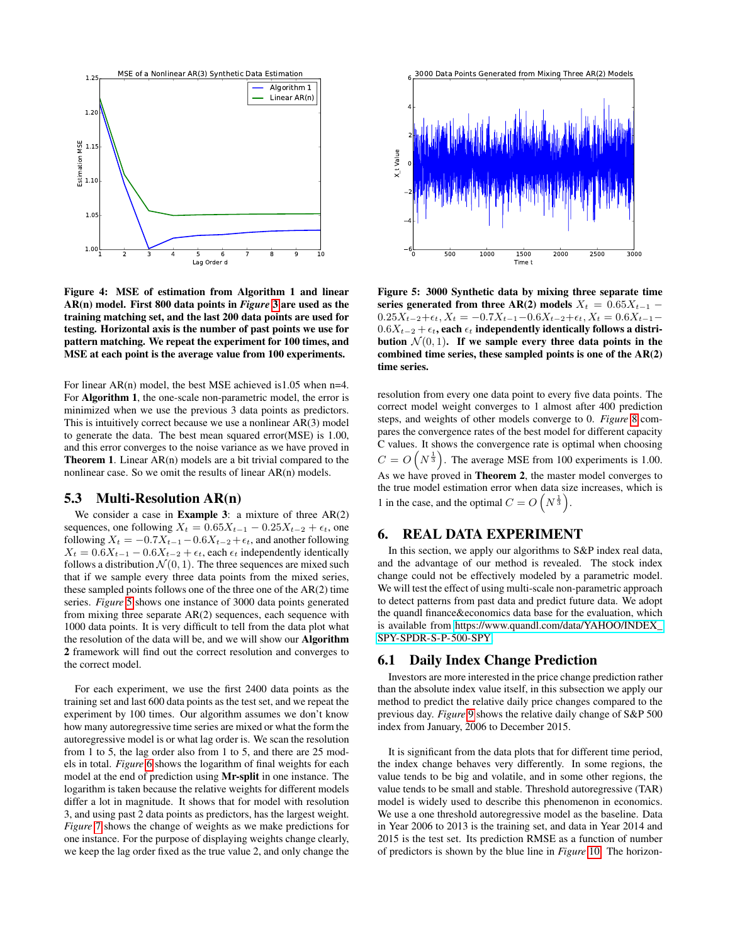

<span id="page-4-0"></span>Figure 4: MSE of estimation from Algorithm 1 and linear AR(n) model. First 800 data points in *Figure* [3](#page-3-2) are used as the training matching set, and the last 200 data points are used for testing. Horizontal axis is the number of past points we use for pattern matching. We repeat the experiment for 100 times, and MSE at each point is the average value from 100 experiments.

For linear AR(n) model, the best MSE achieved is1.05 when n=4. For Algorithm 1, the one-scale non-parametric model, the error is minimized when we use the previous 3 data points as predictors. This is intuitively correct because we use a nonlinear AR(3) model to generate the data. The best mean squared error(MSE) is 1.00, and this error converges to the noise variance as we have proved in **Theorem 1.** Linear  $AR(n)$  models are a bit trivial compared to the nonlinear case. So we omit the results of linear AR(n) models.

### 5.3 Multi-Resolution AR(n)

We consider a case in **Example 3**: a mixture of three  $AR(2)$ sequences, one following  $X_t = 0.65X_{t-1} - 0.25X_{t-2} + \epsilon_t$ , one following  $X_t = -0.7X_{t-1} - 0.6X_{t-2} + \epsilon_t$ , and another following  $X_t = 0.6X_{t-1} - 0.6X_{t-2} + \epsilon_t$ , each  $\epsilon_t$  independently identically follows a distribution  $\mathcal{N}(0, 1)$ . The three sequences are mixed such that if we sample every three data points from the mixed series, these sampled points follows one of the three one of the AR(2) time series. *Figure* [5](#page-4-1) shows one instance of 3000 data points generated from mixing three separate AR(2) sequences, each sequence with 1000 data points. It is very difficult to tell from the data plot what the resolution of the data will be, and we will show our Algorithm 2 framework will find out the correct resolution and converges to the correct model.

For each experiment, we use the first 2400 data points as the training set and last 600 data points as the test set, and we repeat the experiment by 100 times. Our algorithm assumes we don't know how many autoregressive time series are mixed or what the form the autoregressive model is or what lag order is. We scan the resolution from 1 to 5, the lag order also from 1 to 5, and there are 25 models in total. *Figure* [6](#page-5-0) shows the logarithm of final weights for each model at the end of prediction using Mr-split in one instance. The logarithm is taken because the relative weights for different models differ a lot in magnitude. It shows that for model with resolution 3, and using past 2 data points as predictors, has the largest weight. *Figure* [7](#page-5-1) shows the change of weights as we make predictions for one instance. For the purpose of displaying weights change clearly, we keep the lag order fixed as the true value 2, and only change the



<span id="page-4-1"></span>Figure 5: 3000 Synthetic data by mixing three separate time series generated from three AR(2) models  $X_t = 0.65X_{t-1}$  –  $0.25X_{t-2}+\epsilon_t$ ,  $X_t = -0.7X_{t-1}-0.6X_{t-2}+\epsilon_t$ ,  $X_t = 0.6X_{t-1} 0.6X_{t-2} + \epsilon_t$ , each  $\epsilon_t$  independently identically follows a distribution  $\mathcal{N}(0, 1)$ . If we sample every three data points in the combined time series, these sampled points is one of the AR(2) time series.

resolution from every one data point to every five data points. The correct model weight converges to 1 almost after 400 prediction steps, and weights of other models converge to 0. *Figure* [8](#page-6-0) compares the convergence rates of the best model for different capacity C values. It shows the convergence rate is optimal when choosing  $C = O\left(N^{\frac{1}{3}}\right)$ . The average MSE from 100 experiments is 1.00. As we have proved in Theorem 2, the master model converges to the true model estimation error when data size increases, which is 1 in the case, and the optimal  $C = O\left(N^{\frac{1}{3}}\right)$ .

#### 6. REAL DATA EXPERIMENT

In this section, we apply our algorithms to S&P index real data, and the advantage of our method is revealed. The stock index change could not be effectively modeled by a parametric model. We will test the effect of using multi-scale non-parametric approach to detect patterns from past data and predict future data. We adopt the quandl finance&economics data base for the evaluation, which is available from [https://www.quandl.com/data/YAHOO/INDEX\\_](https://www.quandl.com/data/YAHOO/INDEX_SPY-SPDR-S-P-500-SPY) [SPY-SPDR-S-P-500-SPY.](https://www.quandl.com/data/YAHOO/INDEX_SPY-SPDR-S-P-500-SPY)

#### 6.1 Daily Index Change Prediction

Investors are more interested in the price change prediction rather than the absolute index value itself, in this subsection we apply our method to predict the relative daily price changes compared to the previous day. *Figure* [9](#page-6-1) shows the relative daily change of S&P 500 index from January, 2006 to December 2015.

It is significant from the data plots that for different time period, the index change behaves very differently. In some regions, the value tends to be big and volatile, and in some other regions, the value tends to be small and stable. Threshold autoregressive (TAR) model is widely used to describe this phenomenon in economics. We use a one threshold autoregressive model as the baseline. Data in Year 2006 to 2013 is the training set, and data in Year 2014 and 2015 is the test set. Its prediction RMSE as a function of number of predictors is shown by the blue line in *Figure* [10.](#page-6-2) The horizon-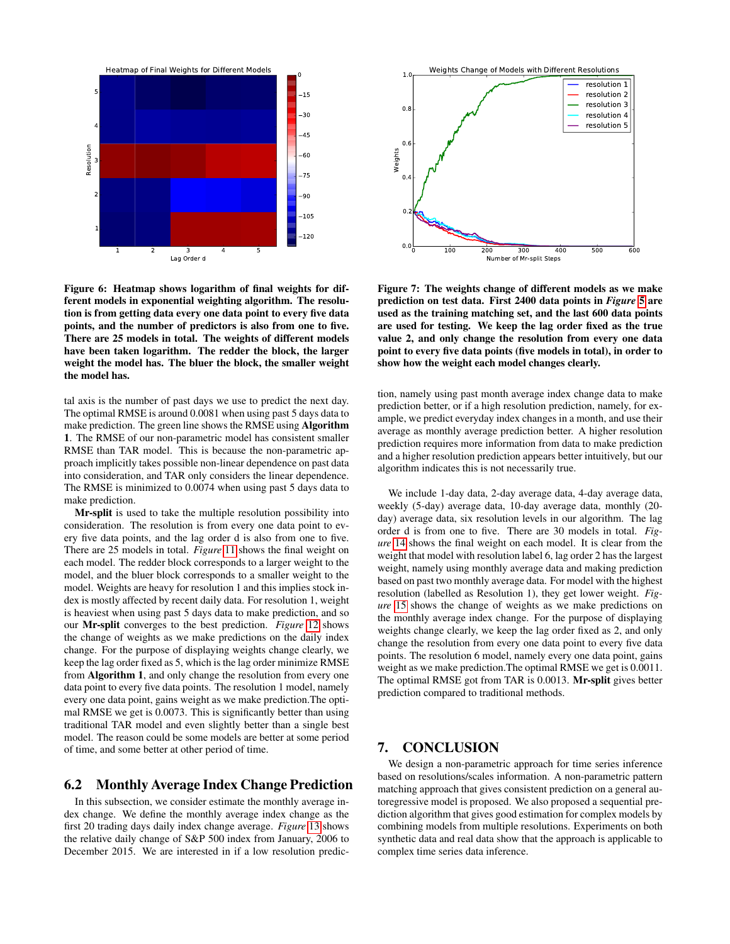

<span id="page-5-0"></span>Figure 6: Heatmap shows logarithm of final weights for different models in exponential weighting algorithm. The resolution is from getting data every one data point to every five data points, and the number of predictors is also from one to five. There are 25 models in total. The weights of different models have been taken logarithm. The redder the block, the larger weight the model has. The bluer the block, the smaller weight the model has.

tal axis is the number of past days we use to predict the next day. The optimal RMSE is around 0.0081 when using past 5 days data to make prediction. The green line shows the RMSE using Algorithm 1. The RMSE of our non-parametric model has consistent smaller RMSE than TAR model. This is because the non-parametric approach implicitly takes possible non-linear dependence on past data into consideration, and TAR only considers the linear dependence. The RMSE is minimized to 0.0074 when using past 5 days data to make prediction.

Mr-split is used to take the multiple resolution possibility into consideration. The resolution is from every one data point to every five data points, and the lag order d is also from one to five. There are 25 models in total. *Figure* [11](#page-7-0) shows the final weight on each model. The redder block corresponds to a larger weight to the model, and the bluer block corresponds to a smaller weight to the model. Weights are heavy for resolution 1 and this implies stock index is mostly affected by recent daily data. For resolution 1, weight is heaviest when using past 5 days data to make prediction, and so our Mr-split converges to the best prediction. *Figure* [12](#page-7-1) shows the change of weights as we make predictions on the daily index change. For the purpose of displaying weights change clearly, we keep the lag order fixed as 5, which is the lag order minimize RMSE from Algorithm 1, and only change the resolution from every one data point to every five data points. The resolution 1 model, namely every one data point, gains weight as we make prediction.The optimal RMSE we get is 0.0073. This is significantly better than using traditional TAR model and even slightly better than a single best model. The reason could be some models are better at some period of time, and some better at other period of time.

## 6.2 Monthly Average Index Change Prediction

In this subsection, we consider estimate the monthly average index change. We define the monthly average index change as the first 20 trading days daily index change average. *Figure* [13](#page-7-2) shows the relative daily change of S&P 500 index from January, 2006 to December 2015. We are interested in if a low resolution predic-



<span id="page-5-1"></span>Figure 7: The weights change of different models as we make prediction on test data. First 2400 data points in *Figure* [5](#page-4-1) are used as the training matching set, and the last 600 data points are used for testing. We keep the lag order fixed as the true value 2, and only change the resolution from every one data point to every five data points (five models in total), in order to show how the weight each model changes clearly.

tion, namely using past month average index change data to make prediction better, or if a high resolution prediction, namely, for example, we predict everyday index changes in a month, and use their average as monthly average prediction better. A higher resolution prediction requires more information from data to make prediction and a higher resolution prediction appears better intuitively, but our algorithm indicates this is not necessarily true.

We include 1-day data, 2-day average data, 4-day average data, weekly (5-day) average data, 10-day average data, monthly (20 day) average data, six resolution levels in our algorithm. The lag order d is from one to five. There are 30 models in total. *Figure* [14](#page-8-16) shows the final weight on each model. It is clear from the weight that model with resolution label 6, lag order 2 has the largest weight, namely using monthly average data and making prediction based on past two monthly average data. For model with the highest resolution (labelled as Resolution 1), they get lower weight. *Figure* [15](#page-8-17) shows the change of weights as we make predictions on the monthly average index change. For the purpose of displaying weights change clearly, we keep the lag order fixed as 2, and only change the resolution from every one data point to every five data points. The resolution 6 model, namely every one data point, gains weight as we make prediction.The optimal RMSE we get is 0.0011. The optimal RMSE got from TAR is 0.0013. Mr-split gives better prediction compared to traditional methods.

# 7. CONCLUSION

We design a non-parametric approach for time series inference based on resolutions/scales information. A non-parametric pattern matching approach that gives consistent prediction on a general autoregressive model is proposed. We also proposed a sequential prediction algorithm that gives good estimation for complex models by combining models from multiple resolutions. Experiments on both synthetic data and real data show that the approach is applicable to complex time series data inference.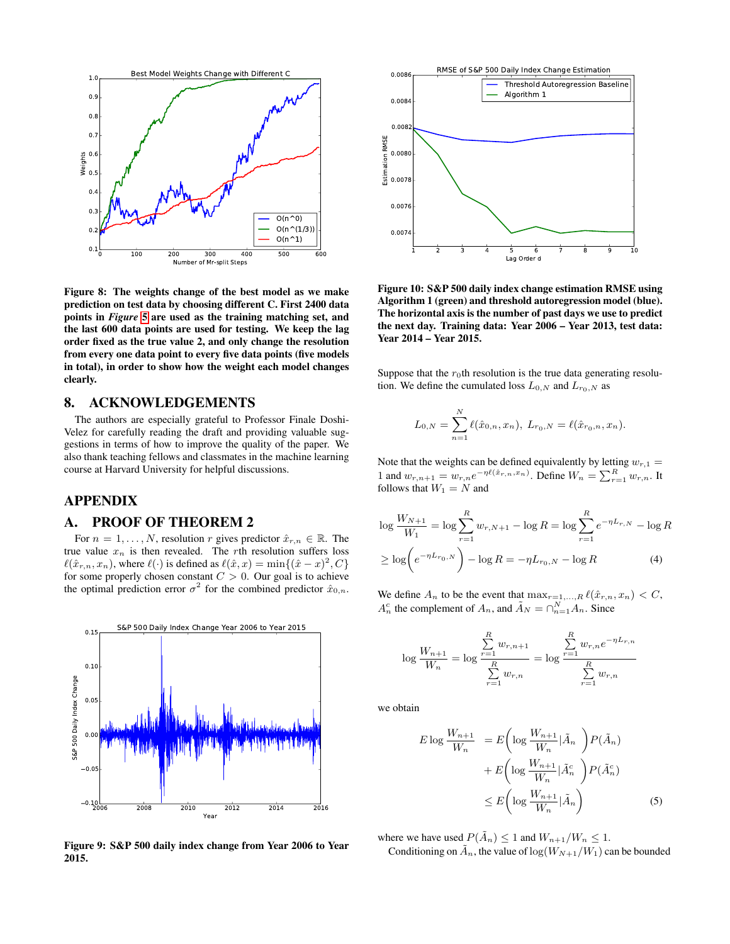

<span id="page-6-0"></span>Figure 8: The weights change of the best model as we make prediction on test data by choosing different C. First 2400 data points in *Figure* [5](#page-4-1) are used as the training matching set, and the last 600 data points are used for testing. We keep the lag order fixed as the true value 2, and only change the resolution from every one data point to every five data points (five models in total), in order to show how the weight each model changes clearly.

### 8. ACKNOWLEDGEMENTS

The authors are especially grateful to Professor Finale Doshi-Velez for carefully reading the draft and providing valuable suggestions in terms of how to improve the quality of the paper. We also thank teaching fellows and classmates in the machine learning course at Harvard University for helpful discussions.

# APPENDIX

#### A. PROOF OF THEOREM 2

For  $n = 1, \ldots, N$ , resolution r gives predictor  $\hat{x}_{r,n} \in \mathbb{R}$ . The true value  $x_n$  is then revealed. The rth resolution suffers loss  $\ell(\hat{x}_{r,n}, x_n)$ , where  $\ell(\cdot)$  is defined as  $\ell(\hat{x}, x) = \min\{(\hat{x} - x)^2, C\}$ for some properly chosen constant  $C > 0$ . Our goal is to achieve the optimal prediction error  $\sigma^2$  for the combined predictor  $\hat{x}_{0,n}$ .



<span id="page-6-1"></span>Figure 9: S&P 500 daily index change from Year 2006 to Year 2015.



<span id="page-6-2"></span>Figure 10: S&P 500 daily index change estimation RMSE using Algorithm 1 (green) and threshold autoregression model (blue). The horizontal axis is the number of past days we use to predict the next day. Training data: Year 2006 – Year 2013, test data: Year 2014 – Year 2015.

Suppose that the  $r_0$ th resolution is the true data generating resolution. We define the cumulated loss  $L_{0,N}$  and  $L_{r_0,N}$  as

$$
L_{0,N} = \sum_{n=1}^{N} \ell(\hat{x}_{0,n}, x_n), L_{r_0,N} = \ell(\hat{x}_{r_0,n}, x_n).
$$

Note that the weights can be defined equivalently by letting  $w_{r,1} =$ 1 and  $w_{r,n+1} = w_{r,n} e^{-\eta \ell(\hat{x}_{r,n}, x_n)}$ . Define  $W_n = \sum_{r=1}^R w_{r,n}$ . It follows that  $W_1 = N$  and

$$
\log \frac{W_{N+1}}{W_1} = \log \sum_{r=1}^{R} w_{r,N+1} - \log R = \log \sum_{r=1}^{R} e^{-\eta L_{r,N}} - \log R
$$
  
\n
$$
\geq \log \left( e^{-\eta L_{r_0,N}} \right) - \log R = -\eta L_{r_0,N} - \log R
$$
 (4)

We define  $A_n$  to be the event that  $\max_{r=1,\dots,R} \ell(\hat{x}_{r,n}, x_n) < C$ ,  $A_n^c$  the complement of  $A_n$ , and  $\tilde{A}_N = \bigcap_{n=1}^N A_n$ . Since

<span id="page-6-3"></span>
$$
\log \frac{W_{n+1}}{W_n} = \log \frac{\sum_{r=1}^{R} w_{r,n+1}}{\sum_{r=1}^{R} w_{r,n}} = \log \frac{\sum_{r=1}^{R} w_{r,n} e^{-\eta L_{r,n}}}{\sum_{r=1}^{R} w_{r,n}}
$$

we obtain

<span id="page-6-4"></span>
$$
E \log \frac{W_{n+1}}{W_n} = E \left( \log \frac{W_{n+1}}{W_n} | \tilde{A}_n \right) P(\tilde{A}_n)
$$
  
+ 
$$
E \left( \log \frac{W_{n+1}}{W_n} | \tilde{A}_n^c \right) P(\tilde{A}_n^c)
$$
  

$$
\leq E \left( \log \frac{W_{n+1}}{W_n} | \tilde{A}_n \right)
$$
 (5)

where we have used  $P(\tilde{A}_n) \leq 1$  and  $W_{n+1}/W_n \leq 1$ .

Conditioning on  $\tilde{A}_n$ , the value of  $\log(W_{N+1}/W_1)$  can be bounded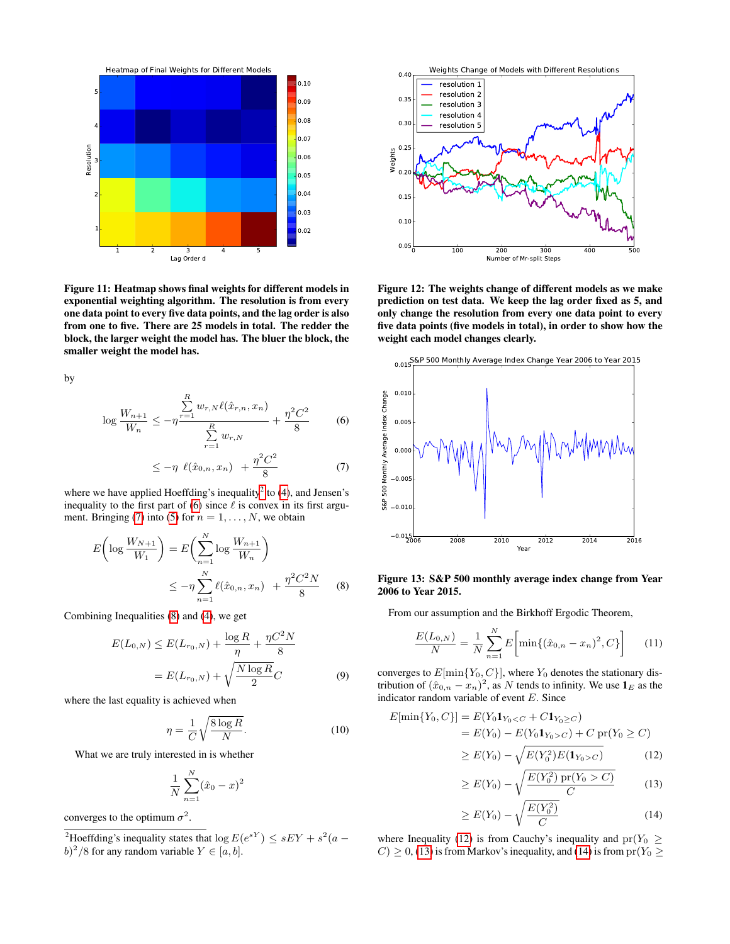

<span id="page-7-0"></span>Figure 11: Heatmap shows final weights for different models in exponential weighting algorithm. The resolution is from every one data point to every five data points, and the lag order is also from one to five. There are 25 models in total. The redder the block, the larger weight the model has. The bluer the block, the smaller weight the model has.

by

$$
\log \frac{W_{n+1}}{W_n} \le -\eta \frac{\sum_{r=1}^{R} w_{r,N} \ell(\hat{x}_{r,n}, x_n)}{\sum_{r=1}^{R} w_{r,N}} + \frac{\eta^2 C^2}{8}
$$
(6)  

$$
\le -\eta \ell(\hat{x}_{0,n}, x_n) + \frac{\eta^2 C^2}{8}
$$
(7)

where we have applied Hoeffding's inequality<sup>[2](#page-7-3)</sup> to  $(4)$ , and Jensen's inequality to the first part of [\(6\)](#page-7-4) since  $\ell$  is convex in its first argu-ment. Bringing [\(7\)](#page-7-5) into [\(5\)](#page-6-4) for  $n = 1, \ldots, N$ , we obtain

$$
E\left(\log \frac{W_{N+1}}{W_1}\right) = E\left(\sum_{n=1}^{N} \log \frac{W_{n+1}}{W_n}\right) \\
\leq -\eta \sum_{n=1}^{N} \ell(\hat{x}_{0,n}, x_n) + \frac{\eta^2 C^2 N}{8} \tag{8}
$$

Combining Inequalities [\(8\)](#page-7-6) and [\(4\)](#page-6-3), we get

$$
E(L_{0,N}) \le E(L_{r_0,N}) + \frac{\log R}{\eta} + \frac{\eta C^2 N}{8}
$$

$$
= E(L_{r_0,N}) + \sqrt{\frac{N \log R}{2}} C
$$
(9)

where the last equality is achieved when

$$
\eta = \frac{1}{C} \sqrt{\frac{8 \log R}{N}}.
$$
\n(10)

What we are truly interested in is whether

$$
\frac{1}{N} \sum_{n=1}^{N} (\hat{x}_0 - x)^2
$$

converges to the optimum  $\sigma^2$ .

<span id="page-7-3"></span><sup>2</sup>Hoeffding's inequality states that  $\log E(e^{sY}) \le sEY + s^2(a (b)^2/8$  for any random variable  $Y \in [a, b]$ .



<span id="page-7-1"></span>Figure 12: The weights change of different models as we make prediction on test data. We keep the lag order fixed as 5, and only change the resolution from every one data point to every five data points (five models in total), in order to show how the weight each model changes clearly.

<span id="page-7-5"></span><span id="page-7-4"></span>

<span id="page-7-6"></span><span id="page-7-2"></span>Figure 13: S&P 500 monthly average index change from Year 2006 to Year 2015.

From our assumption and the Birkhoff Ergodic Theorem,

$$
\frac{E(L_{0,N})}{N} = \frac{1}{N} \sum_{n=1}^{N} E\left[\min\{(\hat{x}_{0,n} - x_n)^2, C\}\right]
$$
(11)

<span id="page-7-10"></span>converges to  $E[\min\{Y_0, C\}]$ , where  $Y_0$  denotes the stationary distribution of  $(\hat{x}_{0,n} - x_n)^2$ , as N tends to infinity. We use  $\mathbf{1}_E$  as the indicator random variable of event E. Since

$$
E[\min\{Y_0, C\}] = E(Y_0 \mathbf{1}_{Y_0 < C} + C \mathbf{1}_{Y_0 \ge C})
$$
\n
$$
= E(Y_0) - E(Y_0 \mathbf{1}_{Y_0 > C}) + C \operatorname{pr}(Y_0 \ge C)
$$
\n
$$
\ge E(Y_0) - \sqrt{E(Y_0^2)E(\mathbf{1}_{Y_0 > C})} \tag{12}
$$

<span id="page-7-11"></span><span id="page-7-8"></span><span id="page-7-7"></span>
$$
\geq E(T_0) = \sqrt{E(T_0)E(Y_0 \geq C)} \tag{12}
$$
\n
$$
\geq E(Y_0) = \sqrt{E(Y_0^2) \text{ pr}(Y_0 \geq C)} \tag{13}
$$

<span id="page-7-9"></span>
$$
\geq E(Y_0) - \sqrt{\frac{\mu(Y_0) - \mu(Y_0) \cdot C}{C}} \tag{13}
$$
\n
$$
\geq E(Y_0) - \sqrt{E(Y_0^2)} \tag{14}
$$

$$
\geq E(Y_0) - \sqrt{\frac{E(Y_0)}{C}} \tag{14}
$$

where Inequality [\(12\)](#page-7-7) is from Cauchy's inequality and pr( $Y_0 \ge$  $C$ )  $\geq$  0, [\(13\)](#page-7-8) is from Markov's inequality, and [\(14\)](#page-7-9) is from pr( $Y_0 \geq$